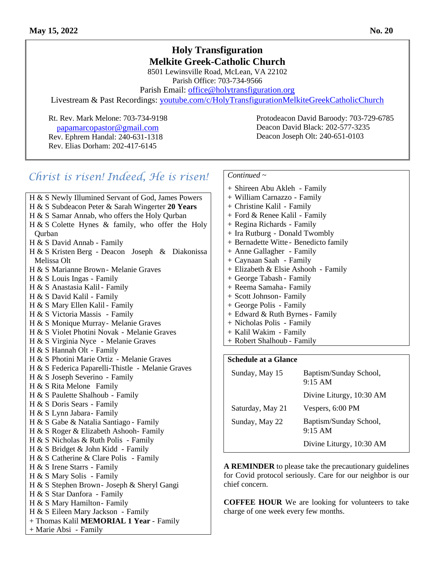## **Holy Transfiguration Melkite Greek-Catholic Church**

8501 Lewinsville Road, McLean, VA 22102 Parish Office: 703-734-9566

Parish Email: [office@holytransfiguration.org](mailto:office@holytransfiguration.org)

Livestream & Past Recordings: [youtube.com/c/HolyTransfigurationMelkiteGreekCatholicChurch](http://youtube.com/c/HolyTransfigurationMelkiteGreekCatholicChurch)

 [p](mailto:papamarcopastor@gmail.com)[apamarcopastor@gmail.com](mailto:papamarcopastor@gmail.com) Rev. Ephrem Handal: 240-631-1318 Rev. Elias Dorham: 202-417-6145

Rt. Rev. Mark Melone: 703-734-9198 Protodeacon David Baroody: 703-729-6785 Deacon David Black: 202-577-3235 Deacon Joseph Olt: 240-651-0103

# *Christ is risen! Indeed, He is risen!*

H & S Newly Illumined Servant of God, James Powers H & S Subdeacon Peter & Sarah Wingerter **20 Years** H & S Samar Annab, who offers the Holy Qurban H & S Colette Hynes & family, who offer the Holy Qurban H & S David Annab - Family H & S Kristen Berg - Deacon Joseph & Diakonissa Melissa Olt H & S Marianne Brown - Melanie Graves H & S Louis Ingas - Family H & S Anastasia Kalil- Family H & S David Kalil - Family H & S Mary Ellen Kalil - Family H & S Victoria Massis - Family H & S Monique Murray- Melanie Graves H & S Violet Photini Novak - Melanie Graves H & S Virginia Nyce - Melanie Graves H & S Hannah Olt - Family H & S Photini Marie Ortiz - Melanie Graves H & S Federica Paparelli-Thistle - Melanie Graves H & S Joseph Severino - Family H & S Rita Melone Family H & S Paulette Shalhoub - Family H & S Doris Sears - Family H & S Lynn Jabara- Family H & S Gabe & Natalia Santiago - Family H & S Roger & Elizabeth Ashooh- Family H & S Nicholas & Ruth Polis - Family H & S Bridget & John Kidd - Family H & S Catherine & Clare Polis - Family H & S Irene Starrs - Family H & S Mary Solis - Family H & S Stephen Brown- Joseph & Sheryl Gangi H & S Star Danfora - Family H & S Mary Hamilton- Family H & S Eileen Mary Jackson - Family + Thomas Kalil **MEMORIAL 1 Year** - Family + Marie Absi - Family

### *Continued ~*

+ Shireen Abu Akleh - Family + William Carnazzo - Family + Christine Kalil - Family + Ford & Renee Kalil - Family + Regina Richards - Family + Ira Rutburg - Donald Twombly + Bernadette Witte - Benedicto family + Anne Gallagher - Family + Caynaan Saah - Family + Elizabeth & Elsie Ashooh - Family + George Tabash - Family + Reema Samaha- Family + Scott Johnson- Family + George Polis - Family + Edward & Ruth Byrnes- Family + Nicholas Polis - Family + Kalil Wakim - Family + Robert Shalhoub - Family

#### **Schedule at a Glance**

| Sunday, May 15   | Baptism/Sunday School,<br>$9:15 \text{ AM}$ |
|------------------|---------------------------------------------|
|                  | Divine Liturgy, 10:30 AM                    |
| Saturday, May 21 | Vespers, 6:00 PM                            |
| Sunday, May 22   | Baptism/Sunday School,<br>$9:15 \text{ AM}$ |
|                  | Divine Liturgy, 10:30 AM                    |

**A REMINDER** to please take the precautionary guidelines for Covid protocol seriously. Care for our neighbor is our chief concern.

**COFFEE HOUR** We are looking for volunteers to take charge of one week every few months.